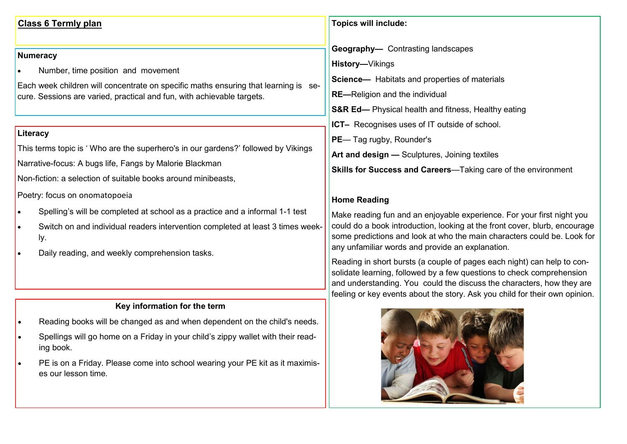## **Class 6 Termly plan**

## **Numeracy**

- Number, time position and movement
- Each week children will concentrate on specific maths ensuring that learning is secure. Sessions are varied, practical and fun, with achievable targets.

#### **Literacy**

This terms topic is ' Who are the superhero's in our gardens?' followed by Vikings

Narrative-focus: A bugs life, Fangs by Malorie Blackman

Non-fiction: a selection of suitable books around minibeasts,

Poetry: focus on onomatopoeia

- Spelling's will be completed at school as a practice and a informal 1-1 test
- Switch on and individual readers intervention completed at least 3 times weekly.
- Daily reading, and weekly comprehension tasks.

#### **Key information for the term**

- Reading books will be changed as and when dependent on the child's needs.
- Spellings will go home on a Friday in your child's zippy wallet with their reading book.
- PE is on a Friday. Please come into school wearing your PE kit as it maximises our lesson time.

## **Topics will include:**

**Geography—** Contrasting landscapes

**History—**Vikings

- **Science—** Habitats and properties of materials
- **RE—**Religion and the individual
- **S&R Ed—** Physical health and fitness, Healthy eating
- **ICT–** Recognises uses of IT outside of school.
- **PE** Tag rugby, Rounder's
- **Art and design —** Sculptures, Joining textiles

**Skills for Success and Careers**—Taking care of the environment

# **Home Reading**

Make reading fun and an enjoyable experience. For your first night you could do a book introduction, looking at the front cover, blurb, encourage some predictions and look at who the main characters could be. Look for any unfamiliar words and provide an explanation.

Reading in short bursts (a couple of pages each night) can help to consolidate learning, followed by a few questions to check comprehension and understanding. You could the discuss the characters, how they are feeling or key events about the story. Ask you child for their own opinion.